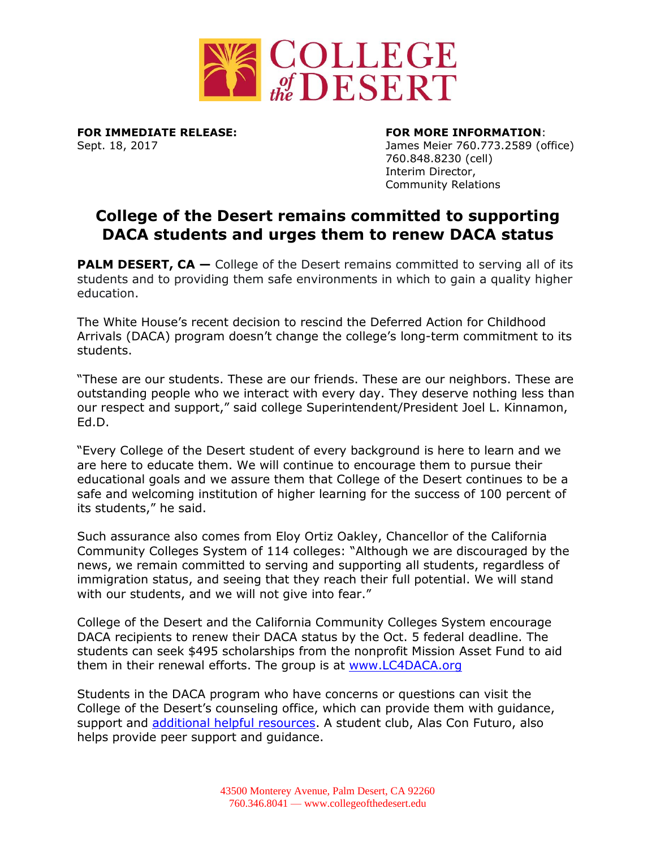

**FOR IMMEDIATE RELEASE: FOR MORE INFORMATION**:

Sept. 18, 2017 James Meier 760.773.2589 (office) 760.848.8230 (cell) Interim Director, Community Relations

## **College of the Desert remains committed to supporting DACA students and urges them to renew DACA status**

**PALM DESERT, CA** – College of the Desert remains committed to serving all of its students and to providing them safe environments in which to gain a quality higher education.

The White House's recent decision to rescind the Deferred Action for Childhood Arrivals (DACA) program doesn't change the college's long-term commitment to its students.

"These are our students. These are our friends. These are our neighbors. These are outstanding people who we interact with every day. They deserve nothing less than our respect and support," said college Superintendent/President Joel L. Kinnamon, Ed.D.

"Every College of the Desert student of every background is here to learn and we are here to educate them. We will continue to encourage them to pursue their educational goals and we assure them that College of the Desert continues to be a safe and welcoming institution of higher learning for the success of 100 percent of its students," he said.

Such assurance also comes from Eloy Ortiz Oakley, Chancellor of the California Community Colleges System of 114 colleges: "Although we are discouraged by the news, we remain committed to serving and supporting all students, regardless of immigration status, and seeing that they reach their full potential. We will stand with our students, and we will not give into fear."

College of the Desert and the California Community Colleges System encourage DACA recipients to renew their DACA status by the Oct. 5 federal deadline. The students can seek \$495 scholarships from the nonprofit Mission Asset Fund to aid them in their renewal efforts. The group is at [www.LC4DACA.org](http://www.lc4daca.org/) 

Students in the DACA program who have concerns or questions can visit the College of the Desert's counseling office, which can provide them with guidance, support and [additional helpful resources.](http://www.cccco.edu/ResourcesforUndocumentedStudents.aspx) A student club, Alas Con Futuro, also helps provide peer support and guidance.